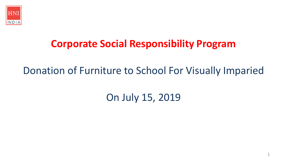

## **Corporate Social Responsibility Program**

## Donation of Furniture to School For Visually Imparied

# On July 15, 2019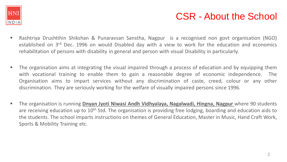

#### CSR - About the School

- Rashtriya Drushtihin Shikshan & Punaravsan Sanstha, Nagpur is a recognised non govt organisation (NGO) established on 3<sup>rd</sup> Dec. 1996 on would Disabled day with a view to work for the education and economics rehabilitation of persons with disability in general and person with visual Disability in particularly.
- The organisation aims at integrating the visual impaired through a process of education and by equipping them with vocational training to enable them to gain a reasonable degree of economic independence. The Organisation aims to impart services without any discrimination of caste, creed, colour or any other discrimination. They are seriously working for the welfare of visually impaired persons since 1996.
- The organisation is running **Dnyan Jyoti Niwasi Andh Vidhyalaya, Nagalwadi, Hingna, Nagpur** where 90 students are receiving education up to 10<sup>th</sup> Std. The organisation is providing free lodging, boarding and education aids to the students. The school imparts instructions on themes of General Education, Master in Music, Hand Craft Work, Sports & Mobility Training etc.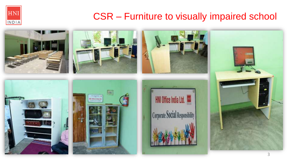

### CSR – Furniture to visually impaired school

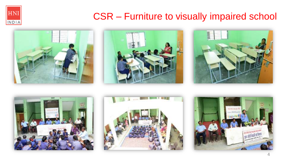

### CSR – Furniture to visually impaired school